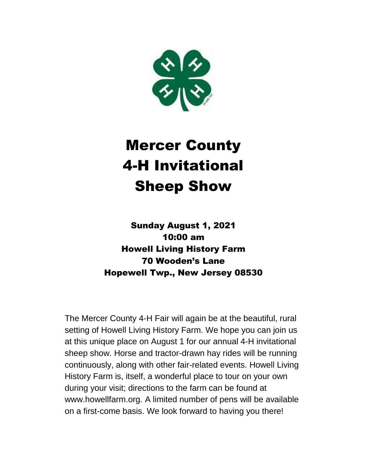

# Mercer County 4-H Invitational Sheep Show

Sunday August 1, 2021 10:00 am Howell Living History Farm 70 Wooden's Lane Hopewell Twp., New Jersey 08530

The Mercer County 4-H Fair will again be at the beautiful, rural setting of Howell Living History Farm. We hope you can join us at this unique place on August 1 for our annual 4-H invitational sheep show. Horse and tractor-drawn hay rides will be running continuously, along with other fair-related events. Howell Living History Farm is, itself, a wonderful place to tour on your own during your visit; directions to the farm can be found at www.howellfarm.org. A limited number of pens will be available on a first-come basis. We look forward to having you there!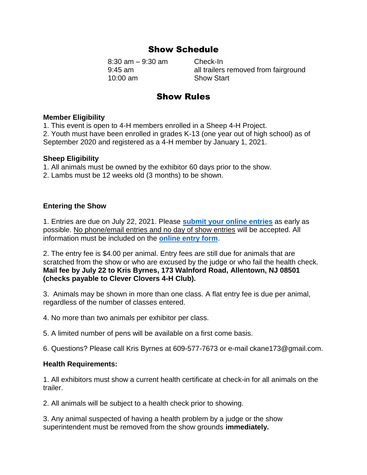# Show Schedule

8:30 am – 9:30 am Check-In 10:00 am Show Start

9:45 am all trailers removed from fairground

# Show Rules

## **Member Eligibility**

1. This event is open to 4-H members enrolled in a Sheep 4-H Project. 2. Youth must have been enrolled in grades K-13 (one year out of high school) as of September 2020 and registered as a 4-H member by January 1, 2021.

## **Sheep Eligibility**

- 1. All animals must be owned by the exhibitor 60 days prior to the show.
- 2. Lambs must be 12 weeks old (3 months) to be shown.

## **Entering the Show**

1. Entries are due on July 22, 2021. Please **[submit your online entries](https://rutgers.ca1.qualtrics.com/jfe/form/SV_brubqZAHgEtk5Ce)** as early as possible. No phone/email entries and no day of show entries will be accepted. All information must be included on the **[online entry form](https://rutgers.ca1.qualtrics.com/jfe/form/SV_brubqZAHgEtk5Ce)**.

2. The entry fee is \$4.00 per animal. Entry fees are still due for animals that are scratched from the show or who are excused by the judge or who fail the health check. **Mail fee by July 22 to Kris Byrnes, 173 Walnford Road, Allentown, NJ 08501 (checks payable to Clever Clovers 4-H Club).**

3. Animals may be shown in more than one class. A flat entry fee is due per animal, regardless of the number of classes entered.

4. No more than two animals per exhibitor per class.

5. A limited number of pens will be available on a first come basis.

6. Questions? Please call Kris Byrnes at 609-577-7673 or e-mail ckane173@gmail.com.

## **Health Requirements:**

1. All exhibitors must show a current health certificate at check-in for all animals on the trailer.

2. All animals will be subject to a health check prior to showing.

3. Any animal suspected of having a health problem by a judge or the show superintendent must be removed from the show grounds **immediately.**